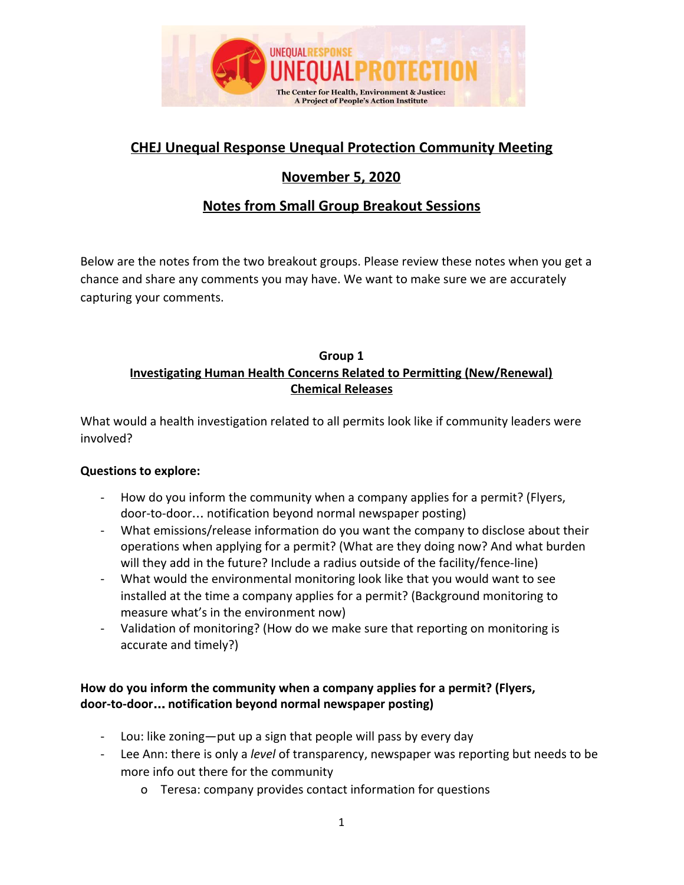

# **CHEJ Unequal Response Unequal Protection Community Meeting**

# **November 5, 2020**

# **Notes from Small Group Breakout Sessions**

Below are the notes from the two breakout groups. Please review these notes when you get a chance and share any comments you may have. We want to make sure we are accurately capturing your comments.

## **Group 1 Investigating Human Health Concerns Related to Permitting (New/Renewal) Chemical Releases**

What would a health investigation related to all permits look like if community leaders were involved?

### **Questions to explore:**

- How do you inform the community when a company applies for a permit? (Flyers, door-to-door… notification beyond normal newspaper posting)
- What emissions/release information do you want the company to disclose about their operations when applying for a permit? (What are they doing now? And what burden will they add in the future? Include a radius outside of the facility/fence-line)
- What would the environmental monitoring look like that you would want to see installed at the time a company applies for a permit? (Background monitoring to measure what's in the environment now)
- Validation of monitoring? (How do we make sure that reporting on monitoring is accurate and timely?)

## **How do you inform the community when a company applies for a permit? (Flyers, door-to-door**… **notification beyond normal newspaper posting)**

- Lou: like zoning—put up a sign that people will pass by every day
- Lee Ann: there is only a *level* of transparency, newspaper was reporting but needs to be more info out there for the community
	- o Teresa: company provides contact information for questions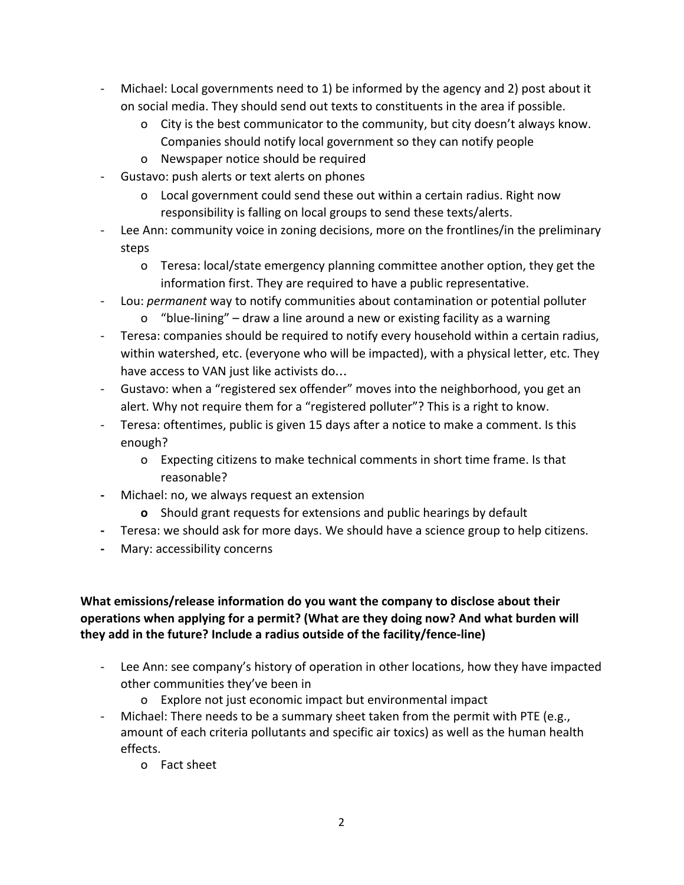- Michael: Local governments need to 1) be informed by the agency and 2) post about it on social media. They should send out texts to constituents in the area if possible.
	- o City is the best communicator to the community, but city doesn't always know. Companies should notify local government so they can notify people
	- o Newspaper notice should be required
- Gustavo: push alerts or text alerts on phones
	- o Local government could send these out within a certain radius. Right now responsibility is falling on local groups to send these texts/alerts.
- Lee Ann: community voice in zoning decisions, more on the frontlines/in the preliminary steps
	- o Teresa: local/state emergency planning committee another option, they get the information first. They are required to have a public representative.
- Lou: *permanent* way to notify communities about contamination or potential polluter
	- o "blue-lining" draw a line around a new or existing facility as a warning
- Teresa: companies should be required to notify every household within a certain radius, within watershed, etc. (everyone who will be impacted), with a physical letter, etc. They have access to VAN just like activists do…
- Gustavo: when a "registered sex offender" moves into the neighborhood, you get an alert. Why not require them for a "registered polluter"? This is a right to know.
- Teresa: oftentimes, public is given 15 days after a notice to make a comment. Is this enough?
	- o Expecting citizens to make technical comments in short time frame. Is that reasonable?
- **-** Michael: no, we always request an extension
	- **o** Should grant requests for extensions and public hearings by default
- **-** Teresa: we should ask for more days. We should have a science group to help citizens.
- **-** Mary: accessibility concerns

### **What emissions/release information do you want the company to disclose about their operations when applying for a permit? (What are they doing now? And what burden will they add in the future? Include a radius outside of the facility/fence-line)**

- Lee Ann: see company's history of operation in other locations, how they have impacted other communities they've been in
	- o Explore not just economic impact but environmental impact
- Michael: There needs to be a summary sheet taken from the permit with PTE (e.g., amount of each criteria pollutants and specific air toxics) as well as the human health effects.
	- o Fact sheet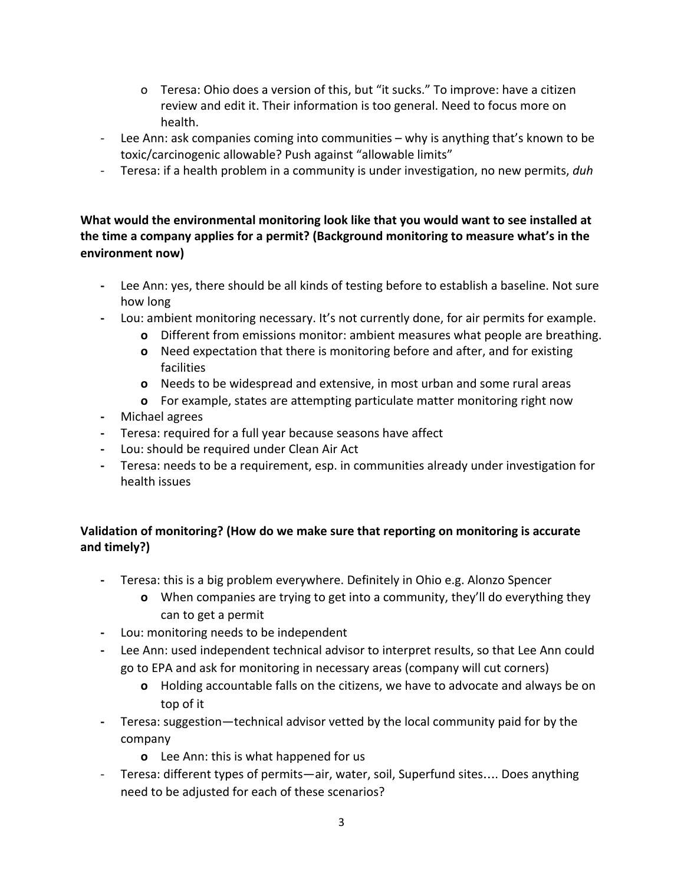- o Teresa: Ohio does a version of this, but "it sucks." To improve: have a citizen review and edit it. Their information is too general. Need to focus more on health.
- Lee Ann: ask companies coming into communities why is anything that's known to be toxic/carcinogenic allowable? Push against "allowable limits"
- Teresa: if a health problem in a community is under investigation, no new permits, *duh*

## **What would the environmental monitoring look like that you would want to see installed at the time a company applies for a permit? (Background monitoring to measure what's in the environment now)**

- **-** Lee Ann: yes, there should be all kinds of testing before to establish a baseline. Not sure how long
- **-** Lou: ambient monitoring necessary. It's not currently done, for air permits for example.
	- **o** Different from emissions monitor: ambient measures what people are breathing.
	- **o** Need expectation that there is monitoring before and after, and for existing facilities
	- **o** Needs to be widespread and extensive, in most urban and some rural areas
	- **o** For example, states are attempting particulate matter monitoring right now
- **-** Michael agrees
- **-** Teresa: required for a full year because seasons have affect
- **-** Lou: should be required under Clean Air Act
- **-** Teresa: needs to be a requirement, esp. in communities already under investigation for health issues

## **Validation of monitoring? (How do we make sure that reporting on monitoring is accurate and timely?)**

- **-** Teresa: this is a big problem everywhere. Definitely in Ohio e.g. Alonzo Spencer
	- **o** When companies are trying to get into a community, they'll do everything they can to get a permit
- **-** Lou: monitoring needs to be independent
- **-** Lee Ann: used independent technical advisor to interpret results, so that Lee Ann could go to EPA and ask for monitoring in necessary areas (company will cut corners)
	- **o** Holding accountable falls on the citizens, we have to advocate and always be on top of it
- **-** Teresa: suggestion—technical advisor vetted by the local community paid for by the company
	- **o** Lee Ann: this is what happened for us
- Teresa: different types of permits—air, water, soil, Superfund sites…. Does anything need to be adjusted for each of these scenarios?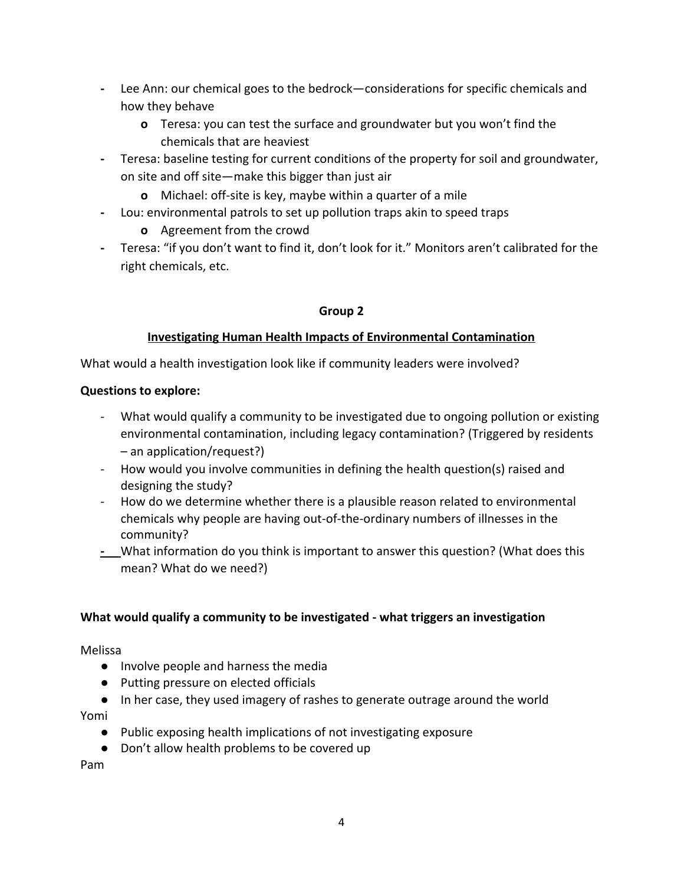- **-** Lee Ann: our chemical goes to the bedrock—considerations for specific chemicals and how they behave
	- **o** Teresa: you can test the surface and groundwater but you won't find the chemicals that are heaviest
- **-** Teresa: baseline testing for current conditions of the property for soil and groundwater, on site and off site—make this bigger than just air
	- **o** Michael: off-site is key, maybe within a quarter of a mile
- **-** Lou: environmental patrols to set up pollution traps akin to speed traps
	- **o** Agreement from the crowd
- **-** Teresa: "if you don't want to find it, don't look for it." Monitors aren't calibrated for the right chemicals, etc.

### **Group 2**

### **Investigating Human Health Impacts of Environmental Contamination**

What would a health investigation look like if community leaders were involved?

#### **Questions to explore:**

- What would qualify a community to be investigated due to ongoing pollution or existing environmental contamination, including legacy contamination? (Triggered by residents – an application/request?)
- How would you involve communities in defining the health question(s) raised and designing the study?
- How do we determine whether there is a plausible reason related to environmental chemicals why people are having out-of-the-ordinary numbers of illnesses in the community?
- **-** What information do you think is important to answer this question? (What does this mean? What do we need?)

#### **What would qualify a community to be investigated - what triggers an investigation**

Melissa

- Involve people and harness the media
- Putting pressure on elected officials
- In her case, they used imagery of rashes to generate outrage around the world

Yomi

- Public exposing health implications of not investigating exposure
- Don't allow health problems to be covered up

Pam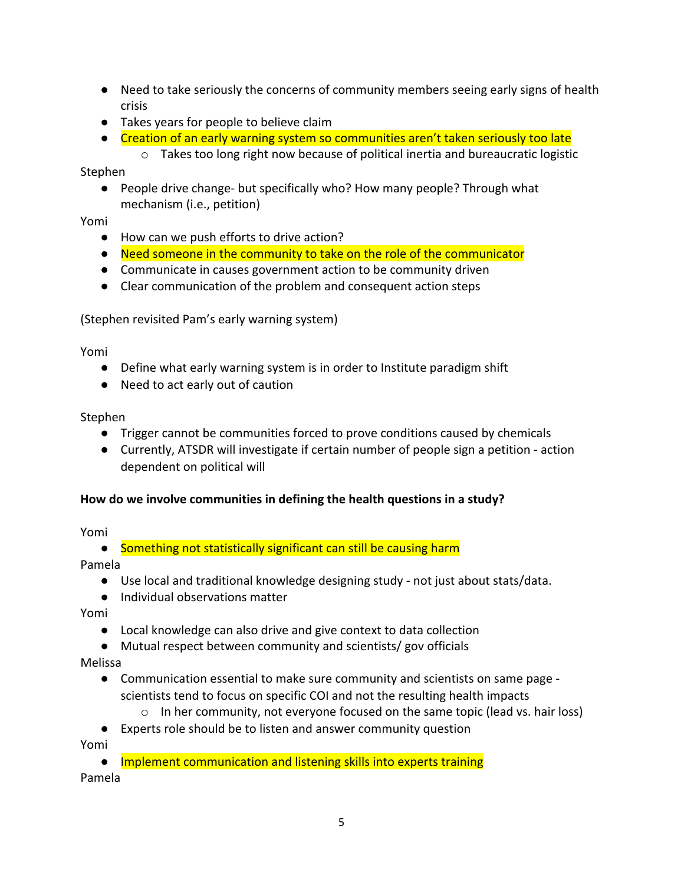- Need to take seriously the concerns of community members seeing early signs of health crisis
- Takes years for people to believe claim
- Creation of an early warning system so communities aren't taken seriously too late
	- $\circ$  Takes too long right now because of political inertia and bureaucratic logistic

Stephen

● People drive change- but specifically who? How many people? Through what mechanism (i.e., petition)

Yomi

- How can we push efforts to drive action?
- Need someone in the community to take on the role of the communicator
- Communicate in causes government action to be community driven
- Clear communication of the problem and consequent action steps

(Stephen revisited Pam's early warning system)

Yomi

- Define what early warning system is in order to Institute paradigm shift
- Need to act early out of caution

Stephen

- Trigger cannot be communities forced to prove conditions caused by chemicals
- Currently, ATSDR will investigate if certain number of people sign a petition action dependent on political will

#### **How do we involve communities in defining the health questions in a study?**

Yomi

● Something not statistically significant can still be causing harm

Pamela

- Use local and traditional knowledge designing study not just about stats/data.
- Individual observations matter

Yomi

- Local knowledge can also drive and give context to data collection
- Mutual respect between community and scientists/ gov officials

Melissa

- Communication essential to make sure community and scientists on same page scientists tend to focus on specific COI and not the resulting health impacts
	- $\circ$  In her community, not everyone focused on the same topic (lead vs. hair loss)
- Experts role should be to listen and answer community question

Yomi

● Implement communication and listening skills into experts training

Pamela